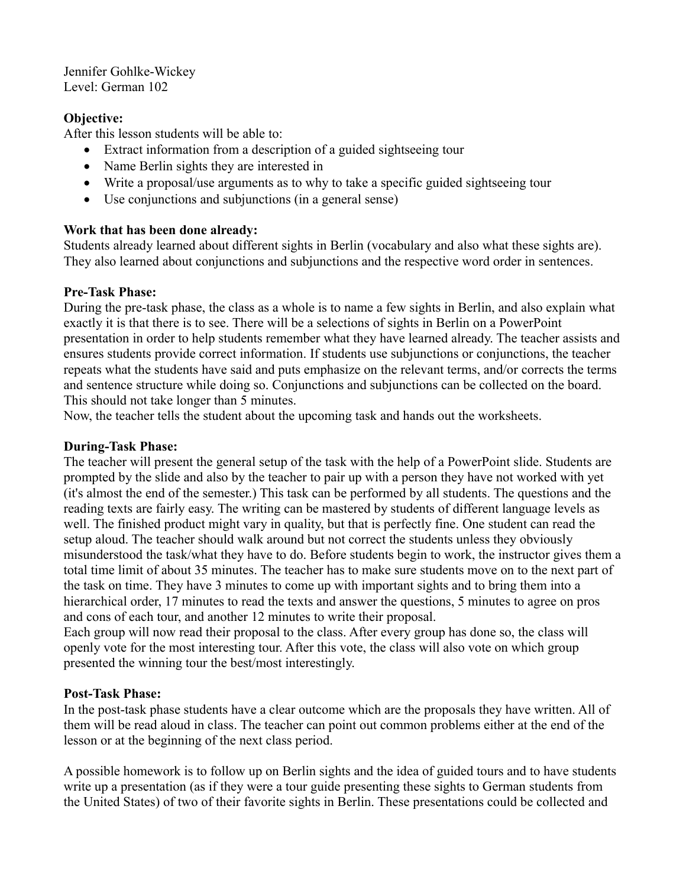Jennifer Gohlke-Wickey Level: German 102

## **Objective:**

After this lesson students will be able to:

- Extract information from a description of a guided sightseeing tour
- Name Berlin sights they are interested in
- Write a proposal/use arguments as to why to take a specific guided sightseeing tour
- Use conjunctions and subjunctions (in a general sense)

# **Work that has been done already:**

Students already learned about different sights in Berlin (vocabulary and also what these sights are). They also learned about conjunctions and subjunctions and the respective word order in sentences.

### **Pre-Task Phase:**

During the pre-task phase, the class as a whole is to name a few sights in Berlin, and also explain what exactly it is that there is to see. There will be a selections of sights in Berlin on a PowerPoint presentation in order to help students remember what they have learned already. The teacher assists and ensures students provide correct information. If students use subjunctions or conjunctions, the teacher repeats what the students have said and puts emphasize on the relevant terms, and/or corrects the terms and sentence structure while doing so. Conjunctions and subjunctions can be collected on the board. This should not take longer than 5 minutes.

Now, the teacher tells the student about the upcoming task and hands out the worksheets.

## **During-Task Phase:**

The teacher will present the general setup of the task with the help of a PowerPoint slide. Students are prompted by the slide and also by the teacher to pair up with a person they have not worked with yet (it's almost the end of the semester.) This task can be performed by all students. The questions and the reading texts are fairly easy. The writing can be mastered by students of different language levels as well. The finished product might vary in quality, but that is perfectly fine. One student can read the setup aloud. The teacher should walk around but not correct the students unless they obviously misunderstood the task/what they have to do. Before students begin to work, the instructor gives them a total time limit of about 35 minutes. The teacher has to make sure students move on to the next part of the task on time. They have 3 minutes to come up with important sights and to bring them into a hierarchical order, 17 minutes to read the texts and answer the questions, 5 minutes to agree on pros and cons of each tour, and another 12 minutes to write their proposal.

Each group will now read their proposal to the class. After every group has done so, the class will openly vote for the most interesting tour. After this vote, the class will also vote on which group presented the winning tour the best/most interestingly.

# **Post-Task Phase:**

In the post-task phase students have a clear outcome which are the proposals they have written. All of them will be read aloud in class. The teacher can point out common problems either at the end of the lesson or at the beginning of the next class period.

A possible homework is to follow up on Berlin sights and the idea of guided tours and to have students write up a presentation (as if they were a tour guide presenting these sights to German students from the United States) of two of their favorite sights in Berlin. These presentations could be collected and